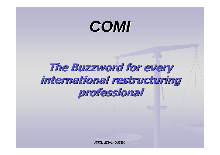#### **COMI**

**The Buzzword for every international restructuring professional**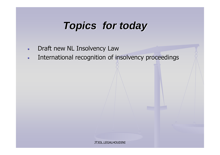#### **Topics for today**

- $\blacksquare$ **Draft new NL Insolvency Law**<br>
- $\blacksquare$ **International recognition of insolvency proceedings**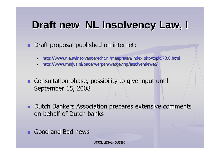# **Draft new NL Insolvency Law, I**

■ Draft proposal published on internet:

- http://www.nieuwinsolventierecht.nl/meepraten/index.php/topic,73.0.html
- http://www.minjus.nl/onderwerpen/wetgeving/insolventiewet/
- **EXTE: Consultation phase, possibility to give input until** September 15, 2008
- **n** Dutch Bankers Association prepares extensive comments on behalf of Dutch banks
- Good and Bad news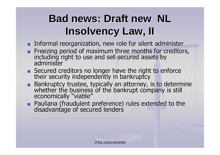#### **Bad news: Draft new NL Insolvency Law, II**

- **Theormal reorganization, new role for silent administer**<br>- Exec<del>ting period of maximum three menths for creditor</del>
- **Example 2 Freezing period of maximum three months for creditors,<br>including right to use and sell secured assets by** including right to use and sell secured assets by administer
- **Example 2 Secured creditors no longer have the right to enforce their security independently in bankruptcy** security independently in bankruptcy
- **EXTE: Bankruptcy trustee, typically an attorney, is to determine whether the business of the bankrupt company is still** r the business of the bankrupt company is still<br>Solly Syiable" economically "viable"
- Pauliana (fraudulent preference) rules extended to the disadvantage of secured lenders e of secured lenders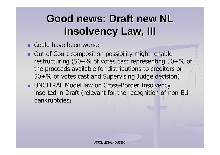#### **Good news: Draft new NL Insolvency Law, III**

- **E** Could have been worse
- Out of Court composition possibility might enable restructuring (50+% of votes cast representing 50+% of  $/$ the proceeds available for distributions to creditors or 50+% of votes cast and Supervising Judge decision)
- UNCITRAL Model law on Cross-Border Insolvency<br>inserted in Draft (relevant for the reseanition of n inserted in Draft (relevant for the recognition of non-EUbankruptcies)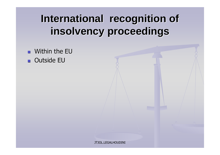#### **International recognition of insolvency proceedings**

-**N**ithin the EU ■ Outside EU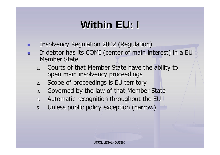# **Within EU: I**

- -**Insolvency Regulation 2002 (Regulation)**
- -**If debtor has its COMI (center of main interest) in a EU** Member State
	- 1. Courts of that Member State have the ability to open main insolvency proceedings
	- 2.. Scope of proceedings is  $\mathsf{EU}\xspace$  territory
	- Governed by the law of that Member State 3.
	- 4.Automatic recognition throughout the EU
	- 5.. Unless public policy exception (narrow)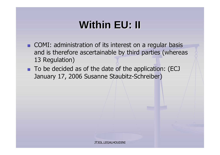### **Within EU: II**

- COMI: administration of its interest on a regular basis and is therefore ascertainable by third parties (whereas 13 Regulation)
- To be decided as of the date of the application: (ECJ January 17, 2006 Susanne Staubitz-Schreiber)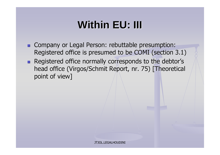## **Within EU: III**

- **Ex Company or Legal Person: rebuttable presumption:** Registered office is presumed to be COMI (section 3.1)
- **Example 3 Registered office normally corresponds to the debtor's** head office (Virgos/Schmit Report, nr. 75) [Theoretical point of view]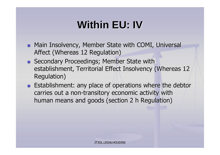# **Within EU: IV**

- **-** Main Insolvency, Member State with COMI, Universal Affect (Whereas 12 Regulation)
- **E** Secondary Proceedings; Member State with establishment, Territorial Effect Insolvency (Whereas 12 $_{\rm /}$ Regulation)
- **Establishment: any place of operations where the debtor** carries out a non-transitory economic activity withhuman means and goods (section 2 h Regulation)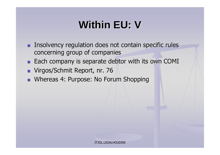## **Within EU: V**

- **Example 1** Insolvency regulation does not contain specific rules concerning group of companies
- **Each company is separate debtor with its own COMI**
- Virgos/Schmit Report, nr. 76
- Whereas 4: Purpose: No Forum Shopping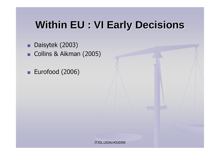#### **Within EU : VI Early Decisions**

- Daisytek (2003)
- Collins & Aikman (2005)
- Eurofood (2006)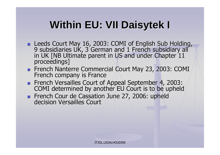## **Within EU: VII Daisytek <sup>I</sup>**

- Leeds Court May 16, 2003: COMI of English Sub Holding,<br>A subsidiation UK 3 Corman and 1 French subsidian, all 9 subsidiaries UK, 3 German and 1 French subsidiary all<br>in UK [NB Ultimate parent in US and under Chapter 11 e parent in US and under Chapter 11 proceedings]
- **Exanch Nanterre Commercial Court May 23, 2003: COMI** French company is France
- **External Versailles Court of Appeal September 4, 2003:**<br>COMI determined by another EU Court is to be unhold COMI determined by another EU Court is to be upheld
- **Extench Cour de Cassation June 27, 2006: upheld<br>decision Versailles Court** decision Versailles Court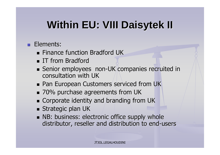# **Within EU: VIII Daisytek II**

- **Elements:** 
	- Finance function Bradford UK
	- IT from Bradford<br>Cenier emple:ce
	- Senior employees non-UK companies recruited in consultation with UK
	- Pan European Customers serviced from UK<br>2004 ausebase assessments from UK
	- 70% purchase agreements from UK
	- Corporate identity and branding from UK<br>Ctrategic plan UK
	- $\blacksquare$  Strategic plan UK
	- **NB: business: electronic office supply whole** distributor, reseller and distribution to end-users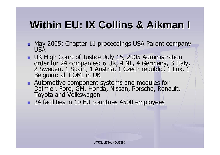#### **Within EU: IX Collins & Aikman <sup>I</sup>**

- **-** May 2005: Chapter 11 proceedings USA Parent company USA
- UK High Court of Justice July 15, 2005 Administration<br>Cardor for 24 companies: 6 J IK 4 NJ 4 Cormany, 2 Jts order for 24 companies: 6 UK, 4 NL, 4 Germany, 3 Italy, 2 Sweden, 1 Spain, 1 Austria, 1 Czech republic, 1 Lux, 1 J<br>Rołajum: all COMI in UK Belgium: all COMI in UK
- **Automotive component**<br>CM Hormlor, Ford CM Hor Automotive component systems and modules for<br>Daimler, Ford, GM, Honda, Nissan, Porsche, Renault, Toyota and Volkswagen
- 24 facilities in 10 EU countries 4500 employees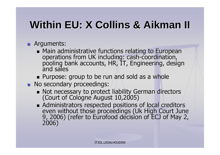## **Within EU: X Collins & Aikman II**

- Arguments:
	- Main administrative functions relating to European<br>constriens from UK including: sash coordination operations frompooling bank accounts, HR, IT, Engineering, design and sales
	- **E** Purpose: group to be run and sold as a whole
- **No secondary proceedings:** 
	- Not necessary to protect liability German directors<br>(Court of Cologno August 10,2005) (Court of Cologne August 10,2005)
	- Administrators respected positions of local creditors even without those proceedings (Uk High Court June<br>9, 2006) (refer to Eurofood decision of ECJ of May 2,<br>2006)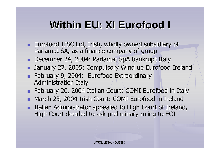# **Within EU: XI Eurofood <sup>I</sup>**

- **Eurofood IFSC Lid, Irish, wholly owned subsidiary of Lighter Contract Contract Contract Contract Contract Contract Contract Contract Contract Contract Contract Contract Contract Contract Contract Contract Contract Contrac** Parlamat SA, as a finance company of group
- December 24, 2004: Parlamat SpA bankrupt Italy
- **n** January 27, 2005: Compulsory Wind up Eurofood Ireland
- **Extraordinary 9, 2004: Eurofood Extraordinary** Administration Italy
- February 20, 2004 Italian Court: COMI Eurofood in Italy
- **-** March 23, 2004 Irish Court: COMI Eurofood in Ireland
- Italian Administrator appealed to High Court of Ireland, High Court decided to ask preliminary ruling to ECJ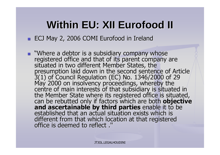# **Within EU: XII Eurofood II**

#### ■ ECJ May 2, 2006 COMI Eurofood in Ireland

 $\overline{\phantom{0}}$ "Where a debtor is a subsidiary company whose<br>registered office and that of its parent company are<br>situated in two different Member States, the presumption laid down in the second sentence of Article<br>3(1) of Council Regulation (EC) No. 1346/2000 of 29 May 2000 on insolvency proceedings, whereby the<br>centre of main interests of that subsidiary is situated in<br>the Member State where its registered office is situated,<br>can be rebutted only if factors which are both **objective** and ascertainable by third parties enable it to be established that an actual situation exists which is different from that which location at that registered<br>office is deemed to reflect .''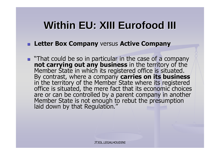### **Within EU: XIII Eurofood III**

- **Letter Box Company** versus **Active Company**
- **That could be so in particular in the case of a company not carrying out any business** in the territory of the in the territory of the Member State in which its registered office is situated. By contrast, where a company **carries on its business** in the territory of the Member State where its registered office is situated, the mere fact that its economic choices are or can be controlled by a parent company in another Member State is not enough to rebut the presumptionlaid down by that Regulation."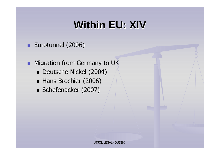#### **Within EU: XIV**

#### **E**urotunnel (2006)

**E** Migration from Germany to UK

- Deutsche Nickel (2004)
- Hans Brochier (2006)
- Schefenacker (2007)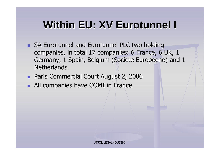#### **Within EU: XV Eurotunnel I**

- **EXALU EUROTAINELY AND EUROTAINELY PLC two holding** companies, in total 17 companies: 6 France, 6 UK, 1 Germany, 1 Spain, Belgium (Societe Europeene) and 1<br>Notherlands Netherlands.
- **Reference 1 Court August 2, 2006**
- **All companies have COMI in France**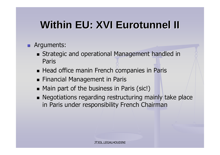# **Within EU: XVI Eurotunnel II**

- Arguments:
	- **Example 3 Strategic and operational Management handled in** Paris
	- $\blacksquare$  Head office manin French companies in Paris
	- $\blacksquare$  Financial Management in Paris
	- $\blacksquare$  Main part of the business in Paris (sic!)
	- **Example 3 Negotiations regarding restructuring mainly take place** in Paris under responsibility French Chairman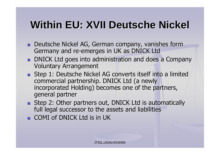# **Within EU: XVII Deutsche Nickel**

- Deutsche Nickel AG, German company, vanishes form Germany and re-emerges in UK as DNICK Ltd
- **DNICK Ltd goes into administration and does a Company** Voluntary Arrangement
- **Extep 1: Deutsche Nickel AG converts itself into a limited and Step 1: Deutsche Nickel AG converts itself into a limited** commercial partnership. DNICK Ltd (a newly incorporated Holding) becomes one of the partners, general partner
- **Extep 2: Other partners out, DNICK Ltd is automatically** full legal successor to the assets and liabilities
- COMI of DNICK Ltd is in UK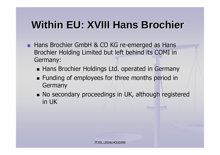#### **Within EU: XVIII Hans Brochier**

- Hans Brochier GmbH & CO KG re-emerged as Hans<br>Ruschier Unkling Limited but left hebind its COMU in Brochier Holding Limited but left behind its COMI in Germany:
	- **E** Hans Brochier Holdings Ltd. operated in Germany
	- $\blacksquare$  Funding of employees for three months period in Germany
	- No secondary proceedings in UK, although registered in UK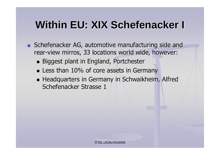#### **Within EU: XIX Schefenacker <sup>I</sup>**

- Schefenacker AG, automotive manufacturing side and rear-view mirros, 33 locations world wide, however:
	- Biggest plant in England, Portchester
	- **Exagger Less than 10% of core assets in Germany**
	- **Example 2 Headquarters in Germany in Schwaikheim, Alfred** Schefenacker Strasse <sup>1</sup>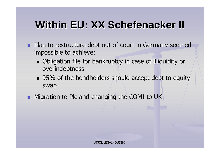## **Within EU: XX Schefenacker II**

- **n** Plan to restructure debt out of court in Germany seemed impossible to achieve:
	- **-** Obligation file for bankruptcy in case of illiquidity or overindebtness
	- $\textcolor{red}{\bullet}$  95% of the bondholders should accept debt to equity swap
- **-** Migration to Plc and changing the COMI to UK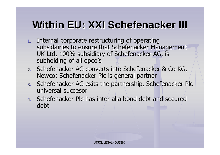# **Within EU: XXI Schefenacker III**

- 1. Internal corporate restructuring of operating subsidairies to ensure that Schefenacker Management UK Ltd, 100% subsidiary of Schefenacker AG, is subholding of all opco's
- 2. Schefenacker AG converts into Schefenacker & Co KG, Newco: Schefenacker Plc is general partner
- 3. Schefenacker AG exits the partnership, Schefenacker Plcuniversal succesor
- 4. Schefenacker Plc has inter alia bond debt and secureddebt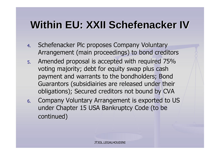# **Within EU: XXII Schefenacker IV**

- 4.Schefenacker Plc proposes Company Voluntary Arrangement (main proceedings) to bond creditors
- 5. Amended proposal is accepted with required 75% voting majority; debt for equity swap plus cash payment and warrants to the bondholders; Bond Guarantors (subsidiairies are released under their obligations); Secured creditors not bound by CVA
- Company Voluntary Arrangement is exported to US 6.under Chapter 15 USA Bankruptcy Code (to be continued)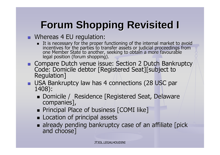# **Forum Shopping Revisited I**

- **EXECUTE:** Whereas 4 EU regulation:
	- It is necessary for the proper functioning of the internal market to avoid incentives for the parties to transfer assets or judicial proceedings from one Member State to another, seeking to obtain a more favourablelegal position (forum shopping).
- **Expared Sutch venue issue: Section 2 Dutch Bankruptcy**<br>Code: Demisile debter [Begistered Sept][subject to Code: Domicile debtor [Registered Seat][subject to<br>Regulation] Regulation]
- USA Bankruptcy law has 4 connections (28 USC par 1408):
	- Domicile / Residence [Registered Seat, Delaware companies],
	- Principal Place of business [COMI like]
	- **Exercise 1 Location of principal assets**
	- I already pending bankruptcy case of an affiliate [pick] and choose] The choose and choose and choose and choose  $\sim$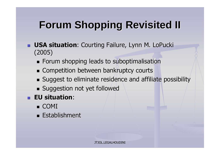# **Forum Shopping Revisited II**

- **USA situation**: Courting Failure, Lynn M. LoPucki (2005)
	- $\blacksquare$  Forum shopping leads to suboptimalisation
	- **Example Competition between bankruptcy courts**
	- $\blacksquare$  Suggest to eliminate residence and affiliate possibility
	- $\blacksquare$  Suggestion not yet followed
- **EU situation**:
	- COMI
	- Establishment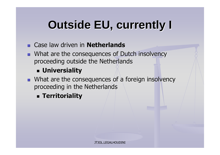#### **Outside EU, currently I**

- Case law driven in **Netherlands**
- **E** What are the consequences of Dutch insolvency proceeding outside the Netherlands

#### - **Universiality**

- **E** What are the consequences of a foreign insolvency proceeding in the Netherlands
	- **Territoriality**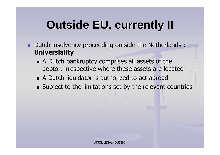#### **Outside EU, currently II**

- **Dutch insolvency proceeding outside the Netherlands: Universiality**
	- **A** Dutch bankruptcy comprises all assets of the debtor, irrespective where these assets are located
	- $\blacksquare$  A Dutch liquidator is authorized to act abroad
	- $\blacksquare$  Subject to the limitations set by the relevant countries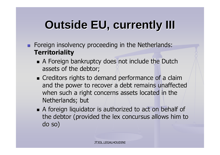#### **Outside EU, currently III**

- **Example 2 Foreign insolvency proceeding in the Netherlands: Territoriality**
	- **A** Foreign bankruptcy does not include the Dutch assets of the debtor;
	- **Exercise 12 India** creditors rights to demand performance of a claim and the power to recover a debt remains unaffected when such a right concerns assets located in the Netherlands; but
	- **A** foreign liquidator is authorized to act on behalf of the debtor (provided the lex concursus allows him to do so)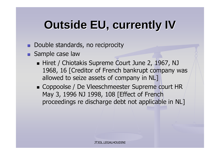#### **Outside EU, currently IV**

- **E** Double standards, no reciprocity
- Sample case law
	- Hiret / Chiotakis Supreme Court June 2, 1967, NJ 1968, 16 [Creditor of French bankrupt company was allowed to seize assets of company in NL]
	- Coppoolse / De Vleeschmeester Supreme court HR May 3, 1996 NJ 1998, 108 [Effect of French proceedings re discharge debt not applicable in NL]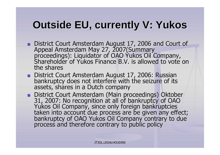#### **Outside EU, currently V: Yukos**

- District Court Amsterdam August 17, 2006 and Court of ■ District Court Amsterdam August 17, 2006 and Court of Appeal Amsterdam May 27, 2007(Summary<br>proceedings): Liquidator of OAO Yukos Oil Company, proceedings): Liquidator of OAO Yukos Oil Company,<br>Shareholder of Yukos Finance B.V. is allowed to vote o s Finance B.V. is allowed to vote on the shares
- **District Co** bankruptcy does not interfere with the seizure of its assets, shares in a Dutch company
- District Court Amsterdam (Main proceedings) Oktober 31, 2007: No recognition at all of bankruptcy of OAO YukosYukos Oil Company, since only foreign bankruptcies<br>taken into account due process are be given any effect;<br>bankruptcy of OAO Yukos Oil Company contrary to due bankruptcy of OAO Yukos Oil Company contrary to due<br>process and therefore contrary to public policy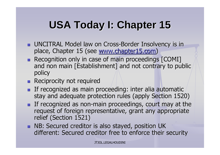#### **USA Today I: Chapter <sup>15</sup>**

- **UNCITRAL Model law on Cross-Border Insolvency is in**<br>Refer to the that is (see within chapter) 5 core) place, Chapter 15 (see <u>www.chapter15.com</u>)
- Recognition only in case of main proceedings [COMI] and non main [Establishment] and not contrary to public $\big/$ policy
- **Reciprocity not required**
- **If recognized as main proceeding: inter alia automatic**<br>Caption 153 stay and adequate protection rules (apply Section 1520)
- **If recognized as non-main proceedings, court may at the late of foreign representative** request of foreign representative, grant any appropriate relief (Section 1521)
- **NB: Secured creditor is also stayed, position UK** different: Secured creditor free to enforce their security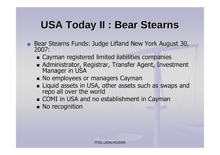#### **USA Today II : Bear Stearns**

- **Bear Stearns Funds: Judge Lifland New York August 30,<br>2007:** 2007:
	- Cayman registered limited liabilities companies
	- **Exaministrator, Registrar, Transfer Agent, Investment** Manager in USA
	- **No employees or managers Cayman**
	- Liquid assets in USA, other assets such as swaps and repo all over the world
	- **E** COMI in USA and no establishment in Cayman
	- $\blacksquare$  No recognition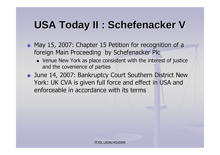#### **USA Today II : Schefenacker <sup>V</sup>**

- May 15, 2007: Chapter 15 Petition for recognition of a foreign Main Proceeding by Schefenacker Plc
	- Venue New York as place consistent with the interest of justice and the covenience of parties
- **E** June 14, 2007: Bankruptcy Court Southern District New York: UK CVA is given full force and effect in USA and enforceable in accordance with its terms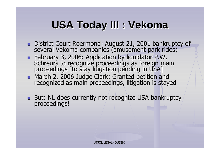#### **USA Today III : Vekoma**

- District Court Roermond: August 21, 2001 bankruptcy of several Vekoma companies (amusement park rides)
- February 3, 2006: Application by liquidator P.W.<br>Cebrours to reseanize preseedings as fereign ma Schreurs to recognize proceedings as foreign main proceedings [to stay litigation pending in USA]
- March March 2, 2006 Judge Clark: Granted petition and<br>recognized as main proceedings, litigation is staye d as main proceedings, litigation is stayed
- But: NL does currently not recognize USA bankruptcy proceedings!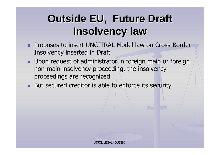#### **Outside EU, Future Draft Insolvency law**

- **EXPROSES TO INSERT UNCITRAL Model law on Cross-Border**<br>Theolyangy inserted in Draft Insolvency inserted in Draft
- **u** Upon request of administrator in foreign main or foreign non-main insolvency proceeding, the insolvency proceedings are recognized
- **E** But secured creditor is able to enforce its security